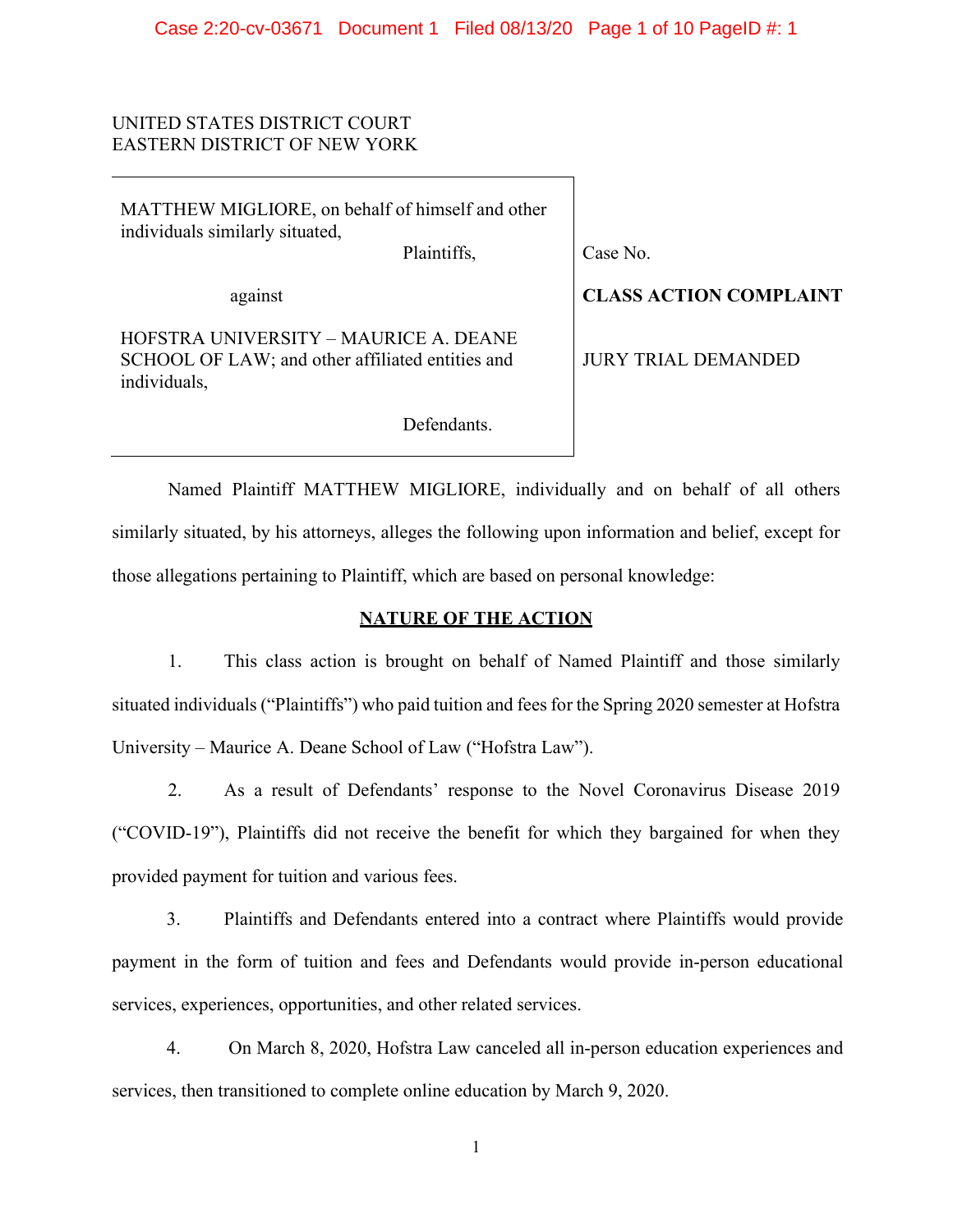# UNITED STATES DISTRICT COURT EASTERN DISTRICT OF NEW YORK

| MATTHEW MIGLIORE, on behalf of himself and other<br>individuals similarly situated,                       | Plaintiffs, | Case No.                      |
|-----------------------------------------------------------------------------------------------------------|-------------|-------------------------------|
| against                                                                                                   |             | <b>CLASS ACTION COMPLAINT</b> |
| HOFSTRA UNIVERSITY – MAURICE A. DEANE<br>SCHOOL OF LAW; and other affiliated entities and<br>individuals, |             | <b>JURY TRIAL DEMANDED</b>    |
|                                                                                                           | Defendants. |                               |

Named Plaintiff MATTHEW MIGLIORE, individually and on behalf of all others similarly situated, by his attorneys, alleges the following upon information and belief, except for those allegations pertaining to Plaintiff, which are based on personal knowledge:

# **NATURE OF THE ACTION**

1. This class action is brought on behalf of Named Plaintiff and those similarly situated individuals ("Plaintiffs") who paid tuition and fees for the Spring 2020 semester at Hofstra University – Maurice A. Deane School of Law ("Hofstra Law").

2. As a result of Defendants' response to the Novel Coronavirus Disease 2019 ("COVID-19"), Plaintiffs did not receive the benefit for which they bargained for when they provided payment for tuition and various fees.

3. Plaintiffs and Defendants entered into a contract where Plaintiffs would provide payment in the form of tuition and fees and Defendants would provide in-person educational services, experiences, opportunities, and other related services.

4. On March 8, 2020, Hofstra Law canceled all in-person education experiences and services, then transitioned to complete online education by March 9, 2020.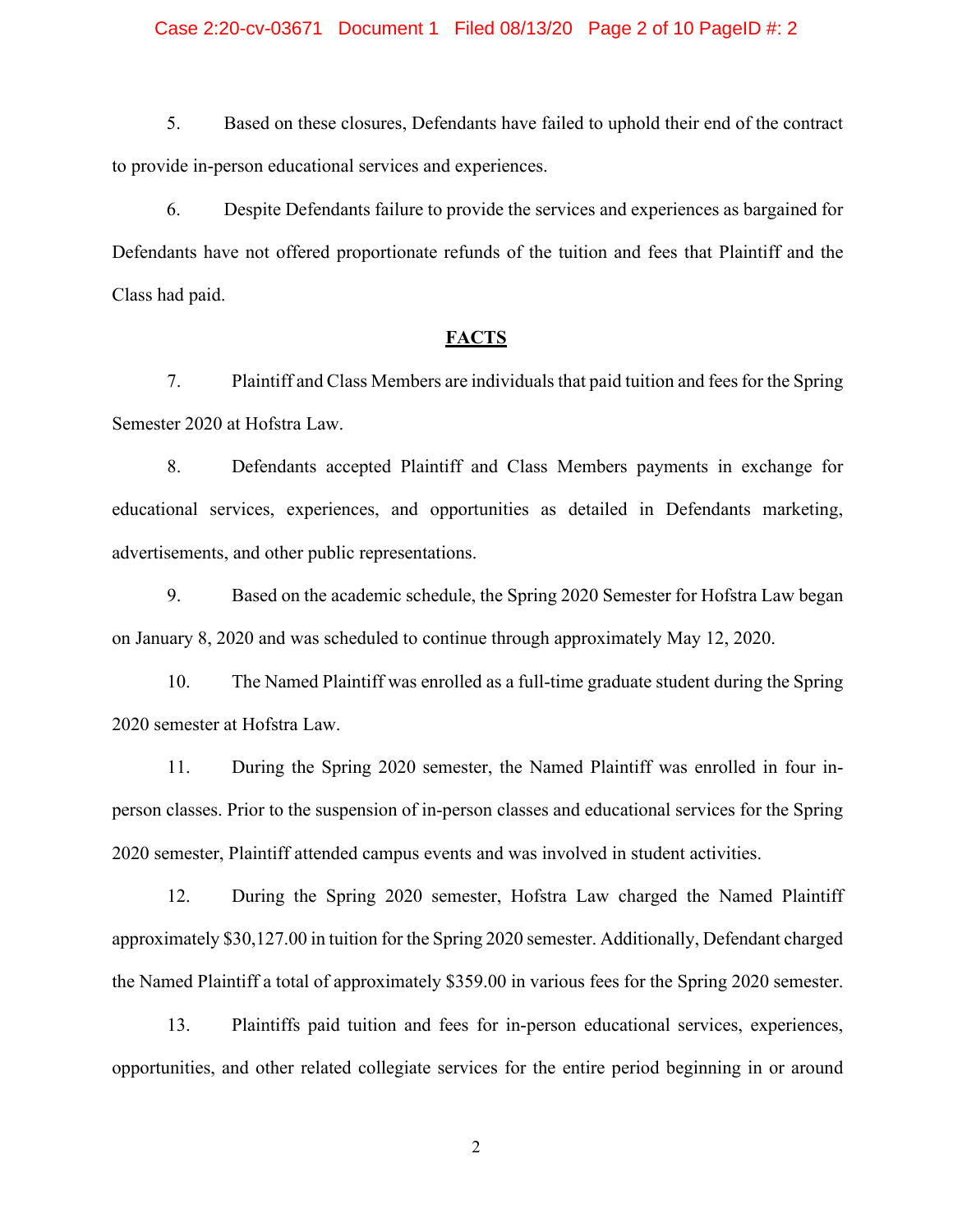#### Case 2:20-cv-03671 Document 1 Filed 08/13/20 Page 2 of 10 PageID #: 2

5. Based on these closures, Defendants have failed to uphold their end of the contract to provide in-person educational services and experiences.

6. Despite Defendants failure to provide the services and experiences as bargained for Defendants have not offered proportionate refunds of the tuition and fees that Plaintiff and the Class had paid.

# **FACTS**

7. Plaintiff and Class Members are individuals that paid tuition and fees for the Spring Semester 2020 at Hofstra Law.

8. Defendants accepted Plaintiff and Class Members payments in exchange for educational services, experiences, and opportunities as detailed in Defendants marketing, advertisements, and other public representations.

9. Based on the academic schedule, the Spring 2020 Semester for Hofstra Law began on January 8, 2020 and was scheduled to continue through approximately May 12, 2020.

10. The Named Plaintiff was enrolled as a full-time graduate student during the Spring 2020 semester at Hofstra Law.

11. During the Spring 2020 semester, the Named Plaintiff was enrolled in four inperson classes. Prior to the suspension of in-person classes and educational services for the Spring 2020 semester, Plaintiff attended campus events and was involved in student activities.

12. During the Spring 2020 semester, Hofstra Law charged the Named Plaintiff approximately \$30,127.00 in tuition for the Spring 2020 semester. Additionally, Defendant charged the Named Plaintiff a total of approximately \$359.00 in various fees for the Spring 2020 semester.

13. Plaintiffs paid tuition and fees for in-person educational services, experiences, opportunities, and other related collegiate services for the entire period beginning in or around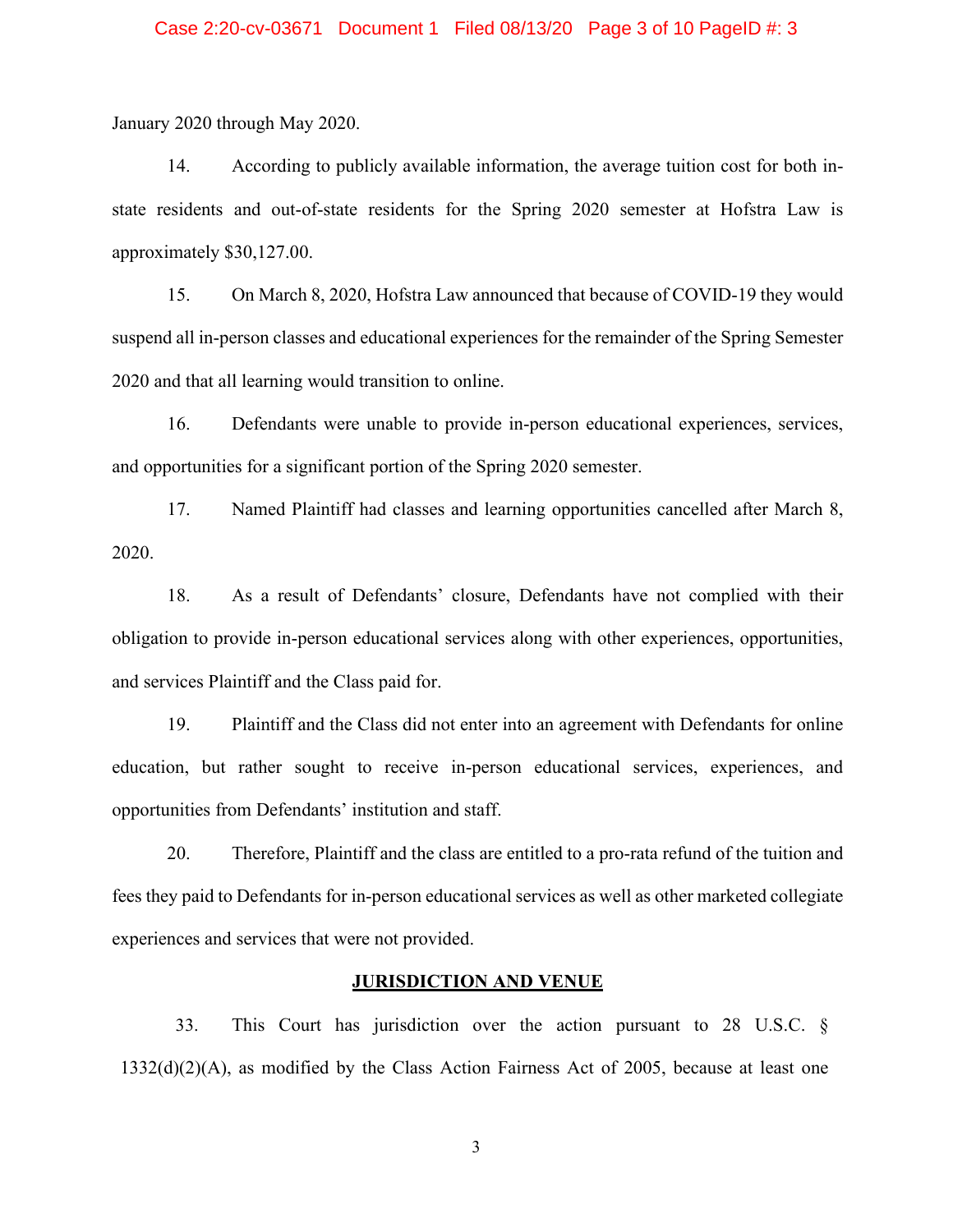#### Case 2:20-cv-03671 Document 1 Filed 08/13/20 Page 3 of 10 PageID #: 3

January 2020 through May 2020.

14. According to publicly available information, the average tuition cost for both instate residents and out-of-state residents for the Spring 2020 semester at Hofstra Law is approximately \$30,127.00.

15. On March 8, 2020, Hofstra Law announced that because of COVID-19 they would suspend all in-person classes and educational experiences for the remainder of the Spring Semester 2020 and that all learning would transition to online.

16. Defendants were unable to provide in-person educational experiences, services, and opportunities for a significant portion of the Spring 2020 semester.

17. Named Plaintiff had classes and learning opportunities cancelled after March 8, 2020.

18. As a result of Defendants' closure, Defendants have not complied with their obligation to provide in-person educational services along with other experiences, opportunities, and services Plaintiff and the Class paid for.

19. Plaintiff and the Class did not enter into an agreement with Defendants for online education, but rather sought to receive in-person educational services, experiences, and opportunities from Defendants' institution and staff.

20. Therefore, Plaintiff and the class are entitled to a pro-rata refund of the tuition and fees they paid to Defendants for in-person educational services as well as other marketed collegiate experiences and services that were not provided.

## **JURISDICTION AND VENUE**

33. This Court has jurisdiction over the action pursuant to 28 U.S.C. § 1332(d)(2)(A), as modified by the Class Action Fairness Act of 2005, because at least one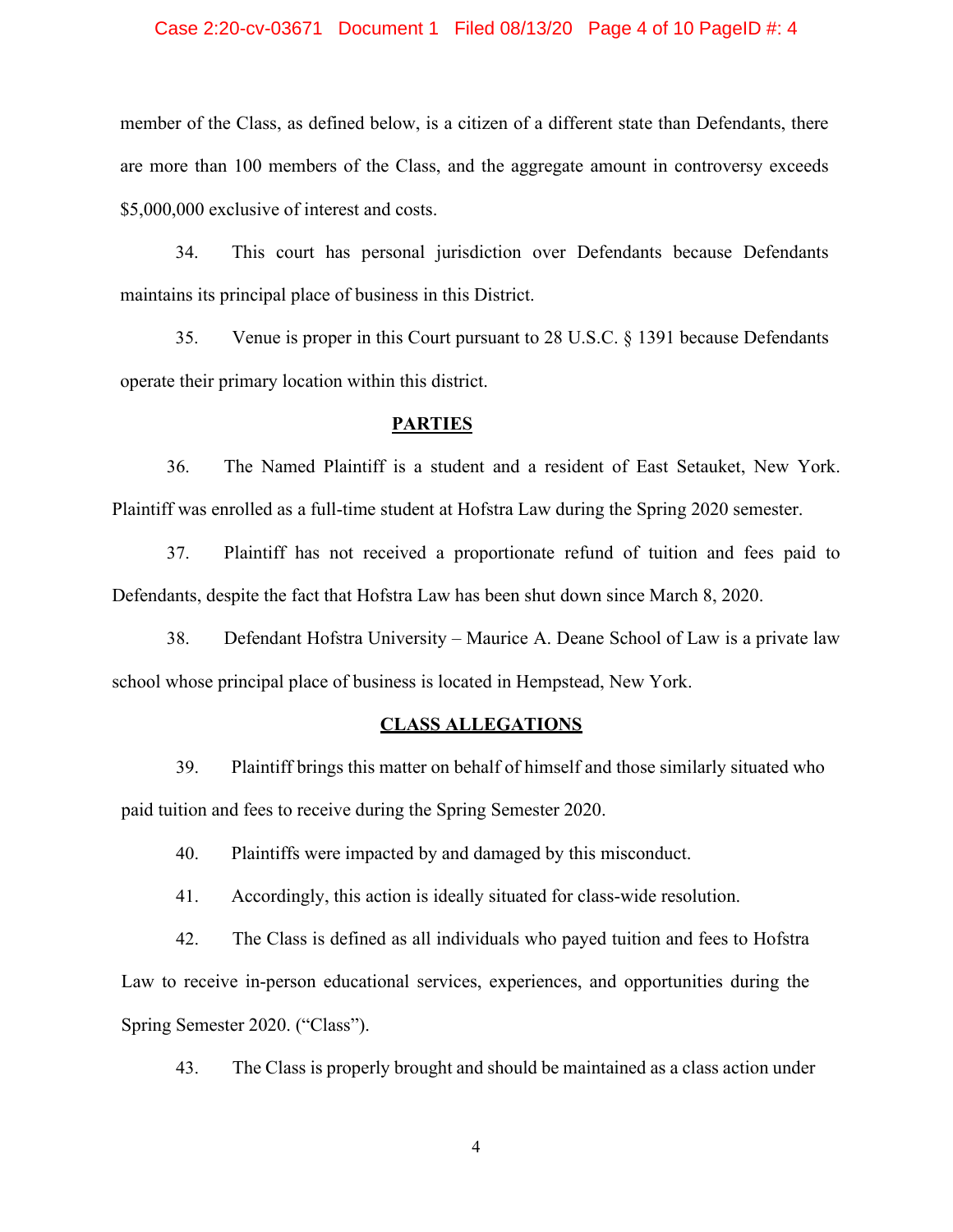#### Case 2:20-cv-03671 Document 1 Filed 08/13/20 Page 4 of 10 PageID #: 4

member of the Class, as defined below, is a citizen of a different state than Defendants, there are more than 100 members of the Class, and the aggregate amount in controversy exceeds \$5,000,000 exclusive of interest and costs.

34. This court has personal jurisdiction over Defendants because Defendants maintains its principal place of business in this District.

35. Venue is proper in this Court pursuant to 28 U.S.C. § 1391 because Defendants operate their primary location within this district.

#### **PARTIES**

36. The Named Plaintiff is a student and a resident of East Setauket, New York. Plaintiff was enrolled as a full-time student at Hofstra Law during the Spring 2020 semester.

37. Plaintiff has not received a proportionate refund of tuition and fees paid to Defendants, despite the fact that Hofstra Law has been shut down since March 8, 2020.

38. Defendant Hofstra University – Maurice A. Deane School of Law is a private law school whose principal place of business is located in Hempstead, New York.

### **CLASS ALLEGATIONS**

39. Plaintiff brings this matter on behalf of himself and those similarly situated who paid tuition and fees to receive during the Spring Semester 2020.

40. Plaintiffs were impacted by and damaged by this misconduct.

41. Accordingly, this action is ideally situated for class-wide resolution.

42. The Class is defined as all individuals who payed tuition and fees to Hofstra Law to receive in-person educational services, experiences, and opportunities during the Spring Semester 2020. ("Class").

43. The Class is properly brought and should be maintained as a class action under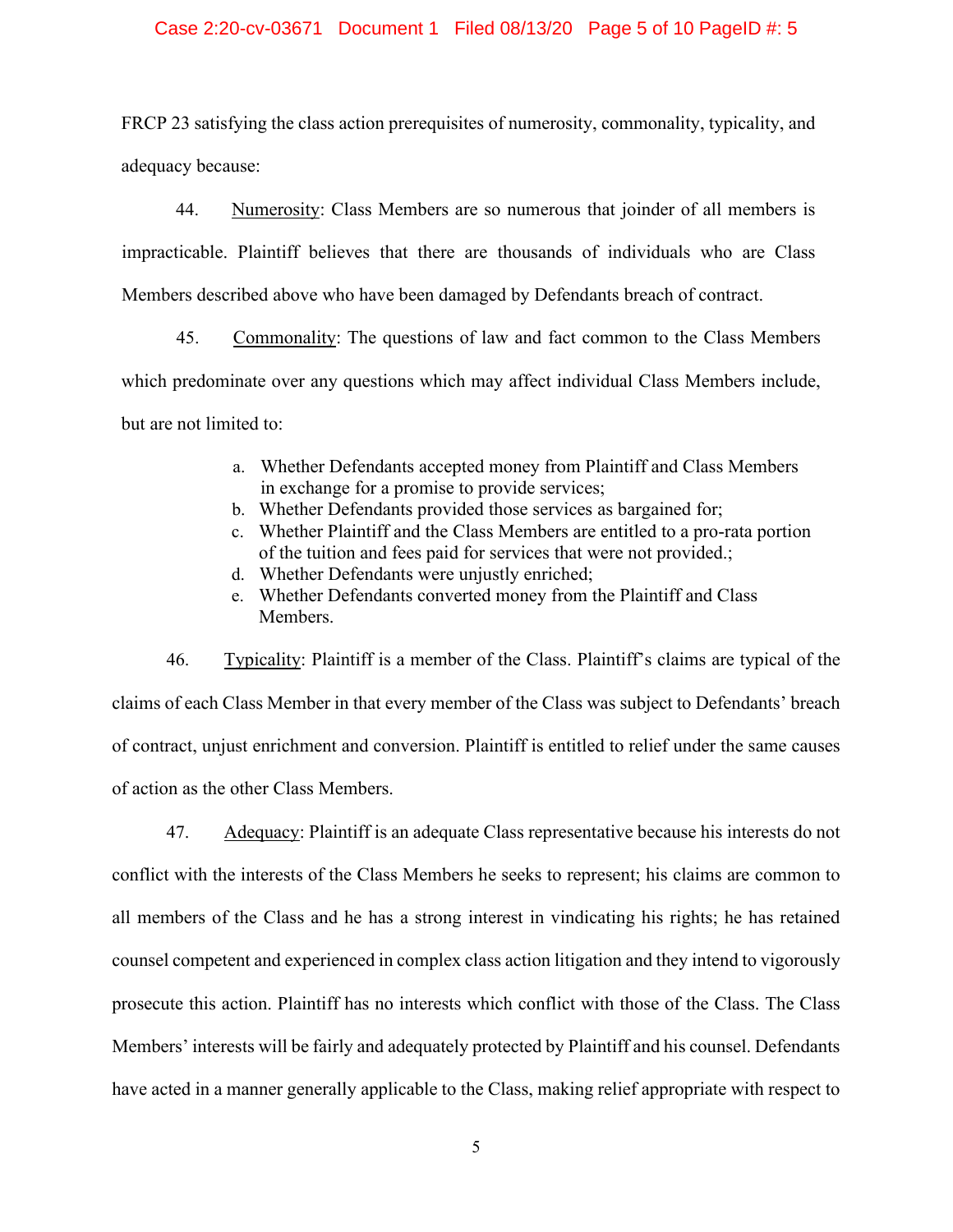### Case 2:20-cv-03671 Document 1 Filed 08/13/20 Page 5 of 10 PageID #: 5

FRCP 23 satisfying the class action prerequisites of numerosity, commonality, typicality, and adequacy because:

44. Numerosity: Class Members are so numerous that joinder of all members is impracticable. Plaintiff believes that there are thousands of individuals who are Class Members described above who have been damaged by Defendants breach of contract.

45. Commonality: The questions of law and fact common to the Class Members which predominate over any questions which may affect individual Class Members include, but are not limited to:

- a. Whether Defendants accepted money from Plaintiff and Class Members in exchange for a promise to provide services;
- b. Whether Defendants provided those services as bargained for;
- c. Whether Plaintiff and the Class Members are entitled to a pro-rata portion of the tuition and fees paid for services that were not provided.;
- d. Whether Defendants were unjustly enriched;
- e. Whether Defendants converted money from the Plaintiff and Class Members.

46. Typicality: Plaintiff is a member of the Class. Plaintiff's claims are typical of the claims of each Class Member in that every member of the Class was subject to Defendants' breach of contract, unjust enrichment and conversion. Plaintiff is entitled to relief under the same causes of action as the other Class Members.

47. Adequacy: Plaintiff is an adequate Class representative because his interests do not conflict with the interests of the Class Members he seeks to represent; his claims are common to all members of the Class and he has a strong interest in vindicating his rights; he has retained counsel competent and experienced in complex class action litigation and they intend to vigorously prosecute this action. Plaintiff has no interests which conflict with those of the Class. The Class Members' interests will be fairly and adequately protected by Plaintiff and his counsel. Defendants have acted in a manner generally applicable to the Class, making relief appropriate with respect to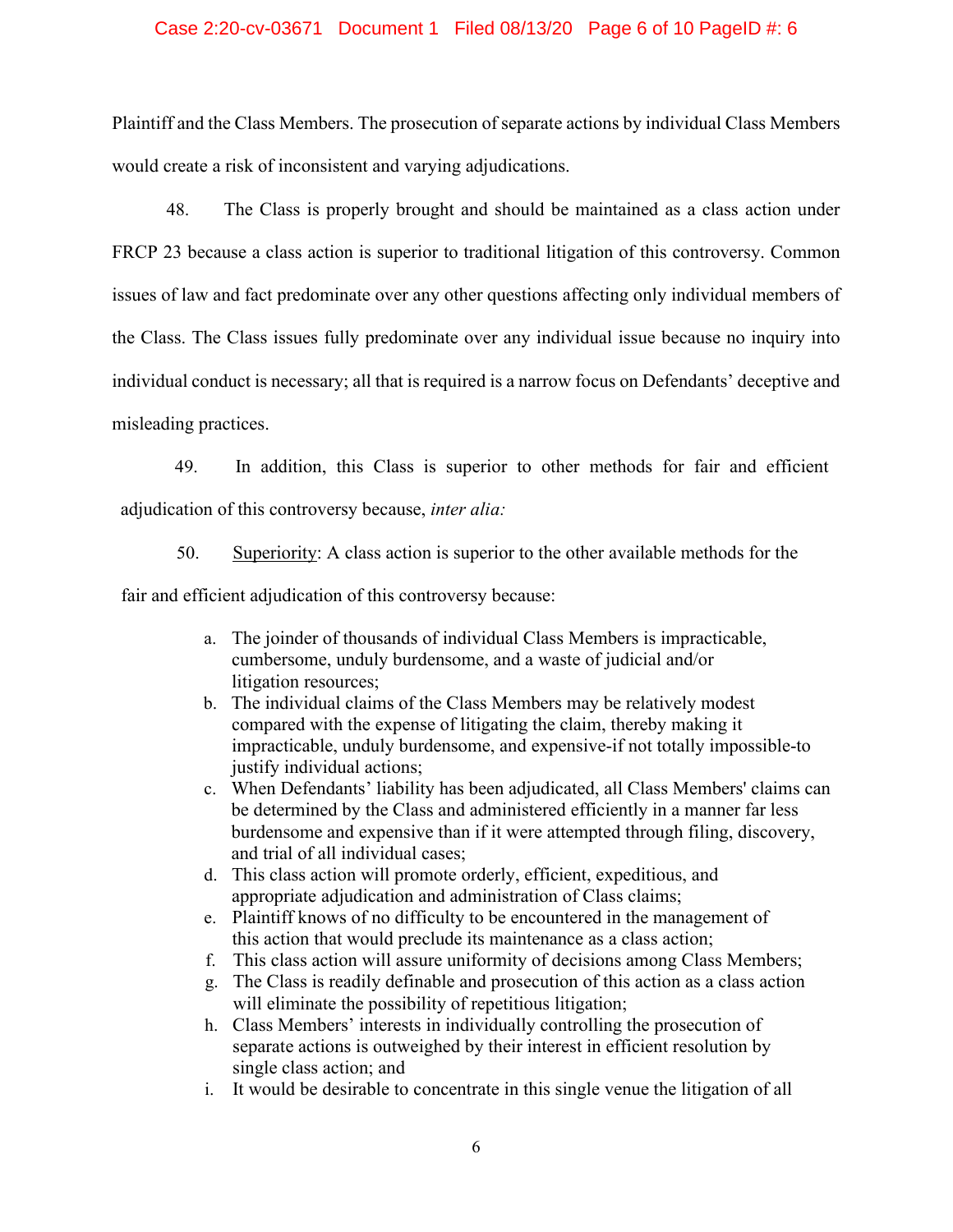### Case 2:20-cv-03671 Document 1 Filed 08/13/20 Page 6 of 10 PageID #: 6

Plaintiff and the Class Members. The prosecution of separate actions by individual Class Members would create a risk of inconsistent and varying adjudications.

48. The Class is properly brought and should be maintained as a class action under FRCP 23 because a class action is superior to traditional litigation of this controversy. Common issues of law and fact predominate over any other questions affecting only individual members of the Class. The Class issues fully predominate over any individual issue because no inquiry into individual conduct is necessary; all that is required is a narrow focus on Defendants' deceptive and misleading practices.

49. In addition, this Class is superior to other methods for fair and efficient adjudication of this controversy because, *inter alia:*

50. Superiority: A class action is superior to the other available methods for the

fair and efficient adjudication of this controversy because:

- a. The joinder of thousands of individual Class Members is impracticable, cumbersome, unduly burdensome, and a waste of judicial and/or litigation resources;
- b. The individual claims of the Class Members may be relatively modest compared with the expense of litigating the claim, thereby making it impracticable, unduly burdensome, and expensive-if not totally impossible-to justify individual actions;
- c. When Defendants' liability has been adjudicated, all Class Members' claims can be determined by the Class and administered efficiently in a manner far less burdensome and expensive than if it were attempted through filing, discovery, and trial of all individual cases;
- d. This class action will promote orderly, efficient, expeditious, and appropriate adjudication and administration of Class claims;
- e. Plaintiff knows of no difficulty to be encountered in the management of this action that would preclude its maintenance as a class action;
- f. This class action will assure uniformity of decisions among Class Members;
- g. The Class is readily definable and prosecution of this action as a class action will eliminate the possibility of repetitious litigation;
- h. Class Members' interests in individually controlling the prosecution of separate actions is outweighed by their interest in efficient resolution by single class action; and
- i. It would be desirable to concentrate in this single venue the litigation of all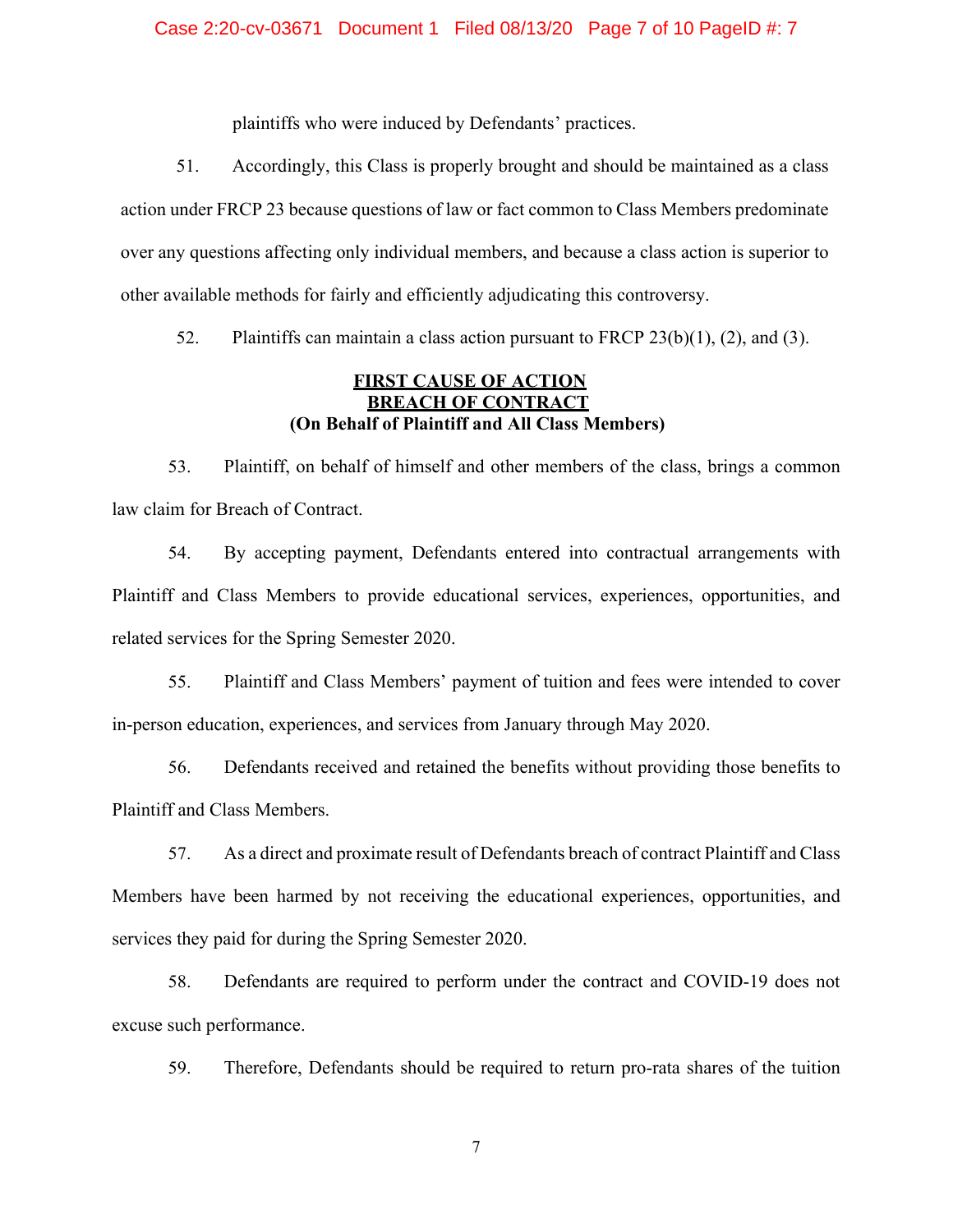#### Case 2:20-cv-03671 Document 1 Filed 08/13/20 Page 7 of 10 PageID #: 7

plaintiffs who were induced by Defendants' practices.

51. Accordingly, this Class is properly brought and should be maintained as a class action under FRCP 23 because questions of law or fact common to Class Members predominate over any questions affecting only individual members, and because a class action is superior to other available methods for fairly and efficiently adjudicating this controversy.

52. Plaintiffs can maintain a class action pursuant to FRCP  $23(b)(1)$ , (2), and (3).

# **FIRST CAUSE OF ACTION BREACH OF CONTRACT (On Behalf of Plaintiff and All Class Members)**

53. Plaintiff, on behalf of himself and other members of the class, brings a common law claim for Breach of Contract.

54. By accepting payment, Defendants entered into contractual arrangements with Plaintiff and Class Members to provide educational services, experiences, opportunities, and related services for the Spring Semester 2020.

55. Plaintiff and Class Members' payment of tuition and fees were intended to cover in-person education, experiences, and services from January through May 2020.

56. Defendants received and retained the benefits without providing those benefits to Plaintiff and Class Members.

57. As a direct and proximate result of Defendants breach of contract Plaintiff and Class Members have been harmed by not receiving the educational experiences, opportunities, and services they paid for during the Spring Semester 2020.

58. Defendants are required to perform under the contract and COVID-19 does not excuse such performance.

59. Therefore, Defendants should be required to return pro-rata shares of the tuition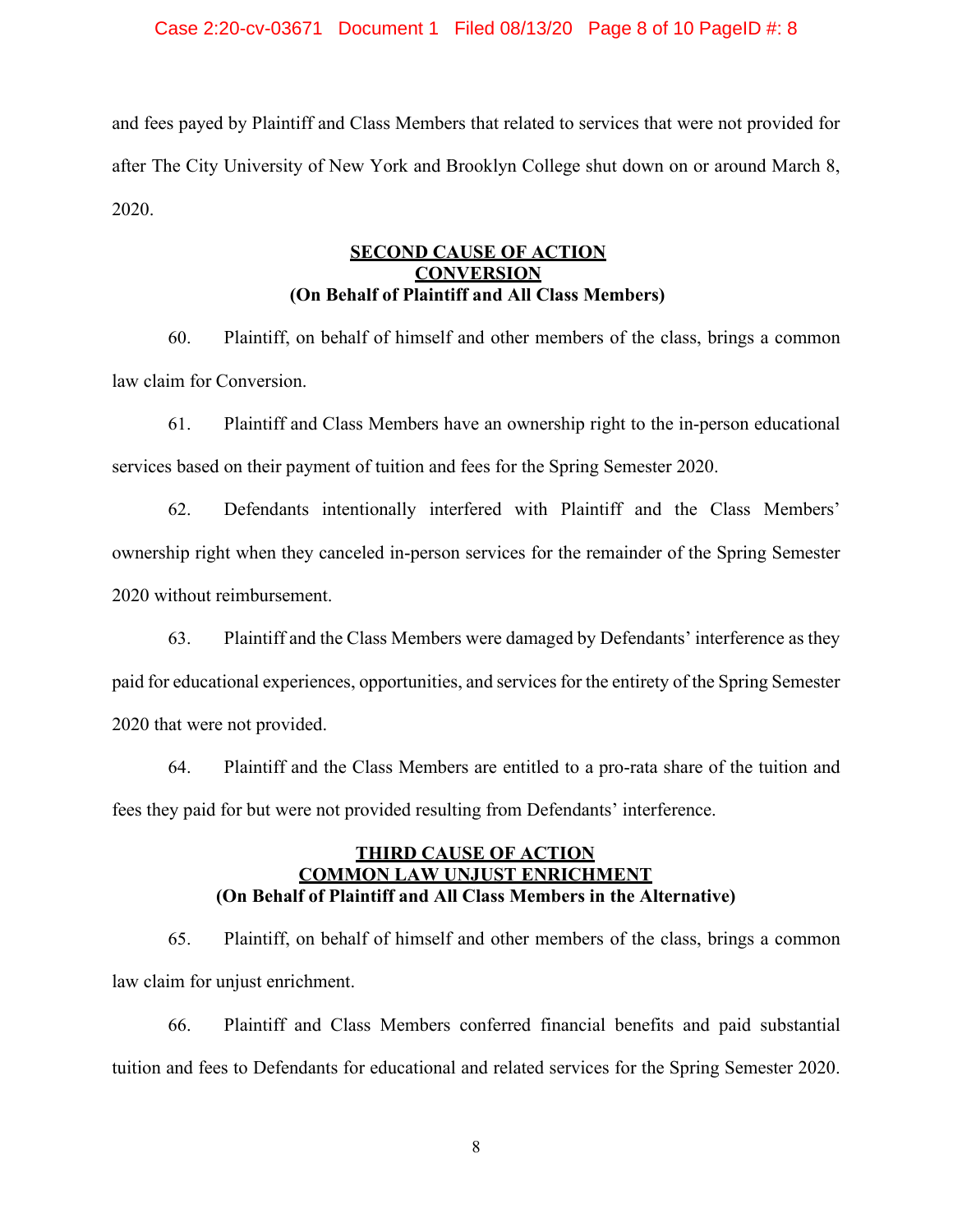#### Case 2:20-cv-03671 Document 1 Filed 08/13/20 Page 8 of 10 PageID #: 8

and fees payed by Plaintiff and Class Members that related to services that were not provided for after The City University of New York and Brooklyn College shut down on or around March 8, 2020.

# **SECOND CAUSE OF ACTION CONVERSION (On Behalf of Plaintiff and All Class Members)**

60. Plaintiff, on behalf of himself and other members of the class, brings a common law claim for Conversion.

61. Plaintiff and Class Members have an ownership right to the in-person educational services based on their payment of tuition and fees for the Spring Semester 2020.

62. Defendants intentionally interfered with Plaintiff and the Class Members' ownership right when they canceled in-person services for the remainder of the Spring Semester 2020 without reimbursement.

63. Plaintiff and the Class Members were damaged by Defendants' interference as they paid for educational experiences, opportunities, and services for the entirety of the Spring Semester 2020 that were not provided.

64. Plaintiff and the Class Members are entitled to a pro-rata share of the tuition and fees they paid for but were not provided resulting from Defendants' interference.

# **THIRD CAUSE OF ACTION COMMON LAW UNJUST ENRICHMENT (On Behalf of Plaintiff and All Class Members in the Alternative)**

65. Plaintiff, on behalf of himself and other members of the class, brings a common law claim for unjust enrichment.

66. Plaintiff and Class Members conferred financial benefits and paid substantial tuition and fees to Defendants for educational and related services for the Spring Semester 2020.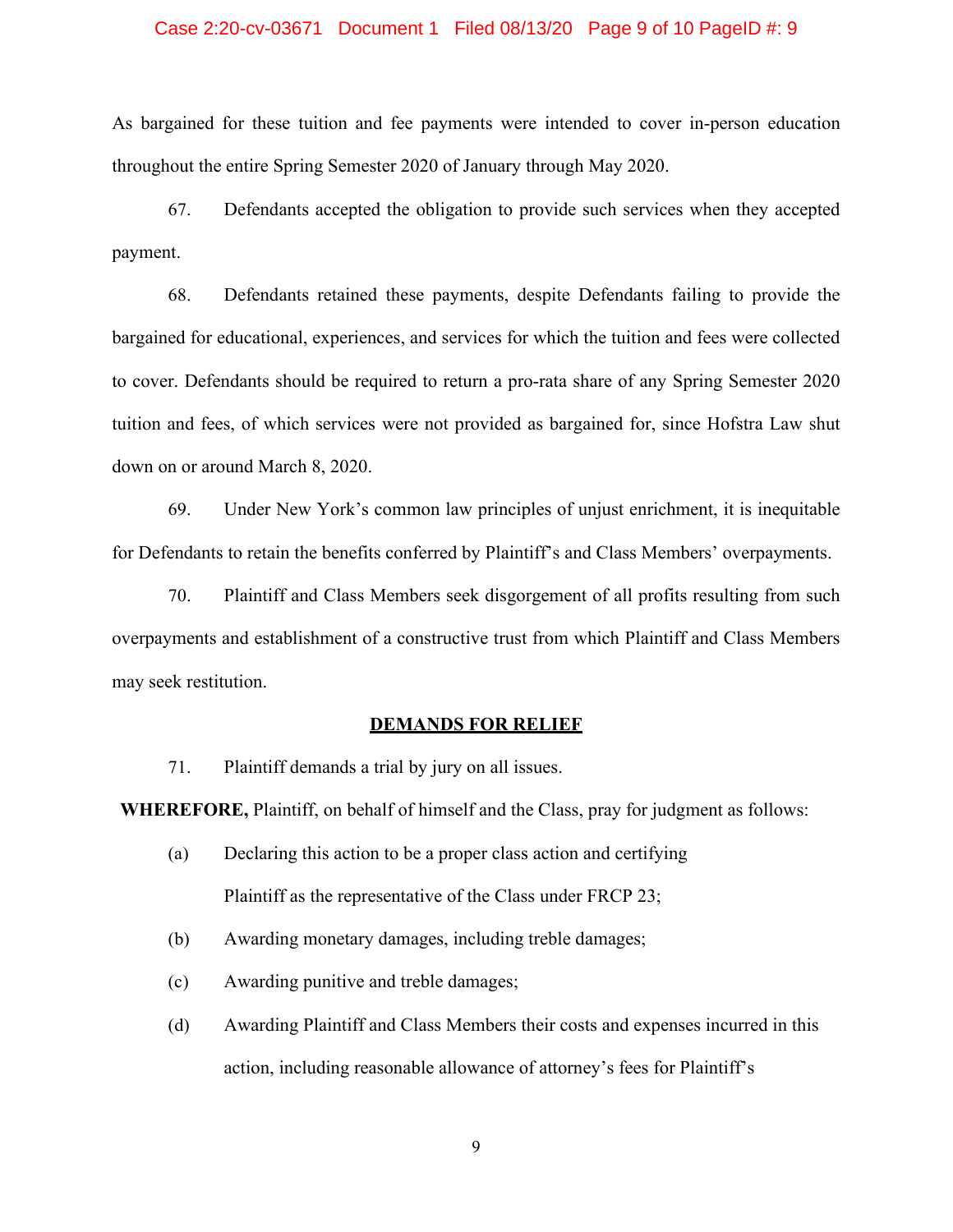#### Case 2:20-cv-03671 Document 1 Filed 08/13/20 Page 9 of 10 PageID #: 9

As bargained for these tuition and fee payments were intended to cover in-person education throughout the entire Spring Semester 2020 of January through May 2020.

67. Defendants accepted the obligation to provide such services when they accepted payment.

68. Defendants retained these payments, despite Defendants failing to provide the bargained for educational, experiences, and services for which the tuition and fees were collected to cover. Defendants should be required to return a pro-rata share of any Spring Semester 2020 tuition and fees, of which services were not provided as bargained for, since Hofstra Law shut down on or around March 8, 2020.

69. Under New York's common law principles of unjust enrichment, it is inequitable for Defendants to retain the benefits conferred by Plaintiff's and Class Members' overpayments.

70. Plaintiff and Class Members seek disgorgement of all profits resulting from such overpayments and establishment of a constructive trust from which Plaintiff and Class Members may seek restitution.

# **DEMANDS FOR RELIEF**

71. Plaintiff demands a trial by jury on all issues.

**WHEREFORE,** Plaintiff, on behalf of himself and the Class, pray for judgment as follows:

- (a) Declaring this action to be a proper class action and certifying Plaintiff as the representative of the Class under FRCP 23;
- (b) Awarding monetary damages, including treble damages;
- (c) Awarding punitive and treble damages;
- (d) Awarding Plaintiff and Class Members their costs and expenses incurred in this action, including reasonable allowance of attorney's fees for Plaintiff's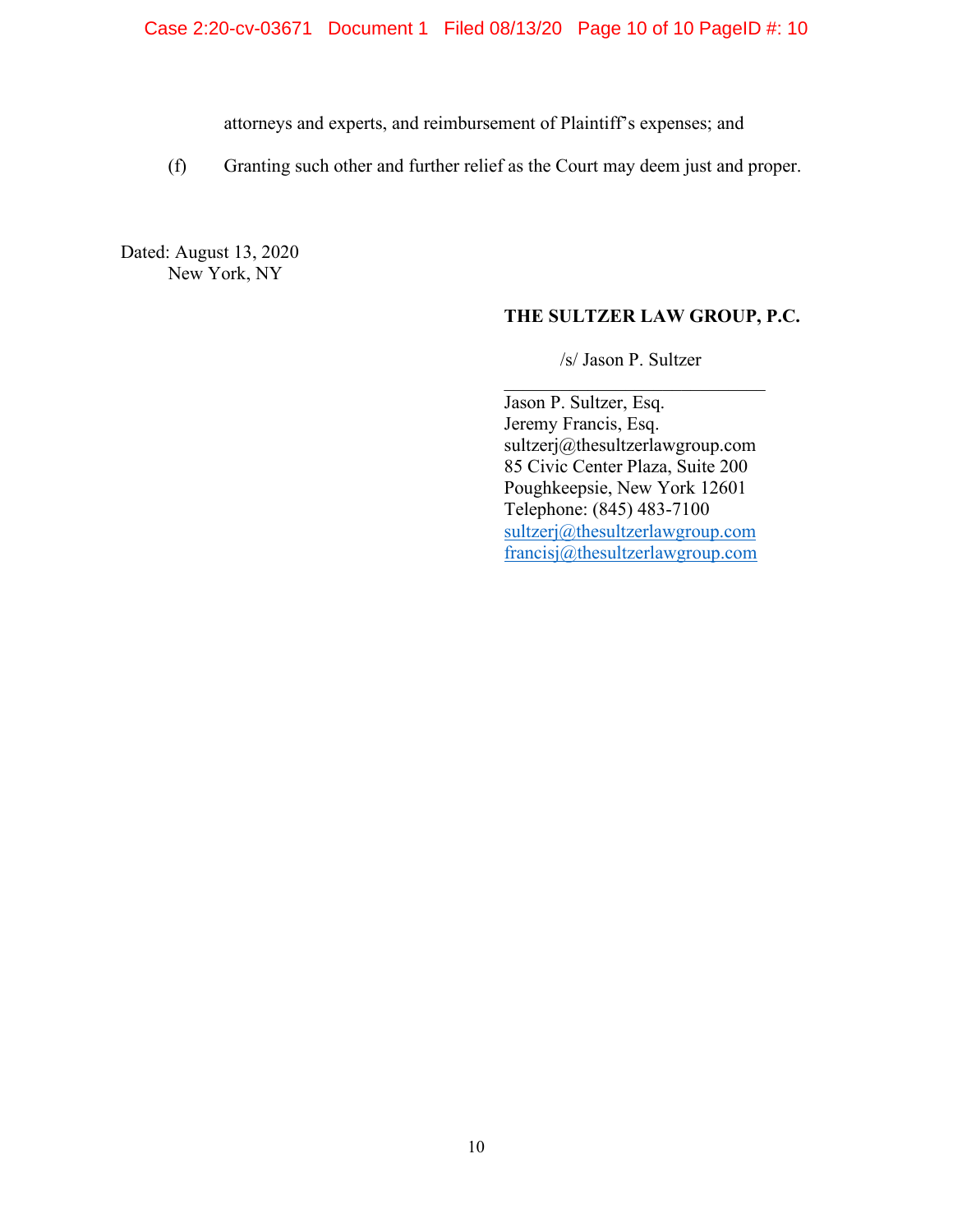attorneys and experts, and reimbursement of Plaintiff's expenses; and

(f) Granting such other and further relief as the Court may deem just and proper.

Dated: August 13, 2020 New York, NY

# **THE SULTZER LAW GROUP, P.C.**

/s/ Jason P. Sultzer

Jason P. Sultzer, Esq. Jeremy Francis, Esq. sultzerj@thesultzerlawgroup.com 85 Civic Center Plaza, Suite 200 Poughkeepsie, New York 12601 Telephone: (845) 483-7100 [sultzerj@thesultzerlawgroup.com](mailto:sultzerj@thesultzerlawgroup.com) [francisj@thesultzerlawgroup.com](mailto:francisj@thesultzerlawgroup.com)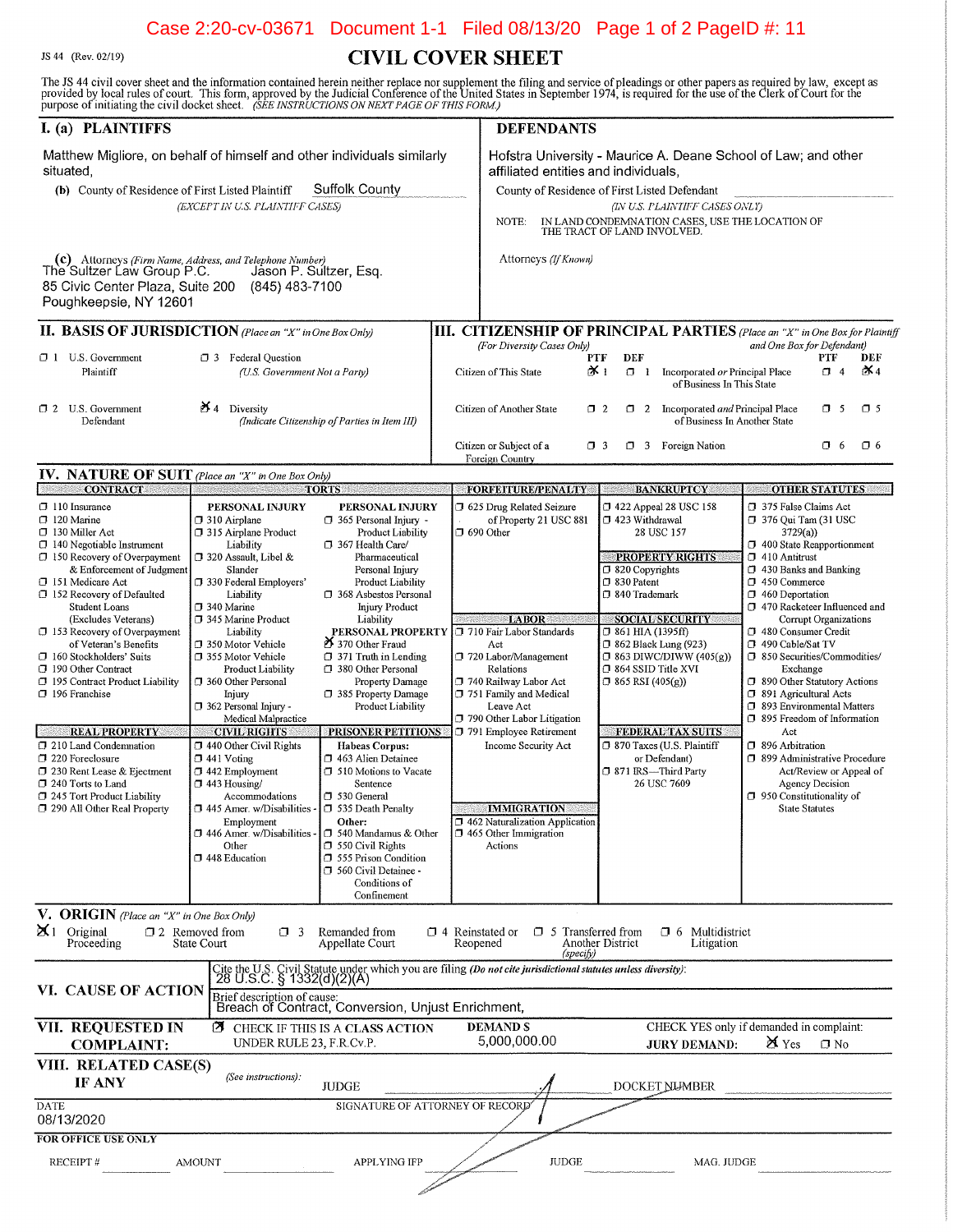# Case 2:20-cv-03671 Document 1-1 Filed 08/13/20 Page 1 of 2 PageID #: 11

JS 44 (Rev. 02/19)

# **CIVIL COVER SHEET**

The JS 44 civil cover sheet and the information contained herein neither replace nor supplement the filing and service of pleadings or other papers as required by law, except as provided by local rules of court. This form,

| I. (a) PLAINTIFFS                                                                                                                                                                                                                                                                                                                                                                                                                                                                                                                                                                                                                            |                                                                                                                                                                                                                                                                                                                                                                                                                                                                                                                                                                                                                                               |                                                                                                                                                                                                                                                                                                                                                                                                                                                                                                                                                                                                                                                                                                                   |                                    | <b>DEFENDANTS</b>                                                                                                                                                                                                                                                                                                                                                                    |                                                                                                                                                                                                                                                                                                                                                                                                                                        |                                                                    |                                                                                                                                                                                                                                                                                                                                                                                                                                                                                                                                                                                                                                                                  |
|----------------------------------------------------------------------------------------------------------------------------------------------------------------------------------------------------------------------------------------------------------------------------------------------------------------------------------------------------------------------------------------------------------------------------------------------------------------------------------------------------------------------------------------------------------------------------------------------------------------------------------------------|-----------------------------------------------------------------------------------------------------------------------------------------------------------------------------------------------------------------------------------------------------------------------------------------------------------------------------------------------------------------------------------------------------------------------------------------------------------------------------------------------------------------------------------------------------------------------------------------------------------------------------------------------|-------------------------------------------------------------------------------------------------------------------------------------------------------------------------------------------------------------------------------------------------------------------------------------------------------------------------------------------------------------------------------------------------------------------------------------------------------------------------------------------------------------------------------------------------------------------------------------------------------------------------------------------------------------------------------------------------------------------|------------------------------------|--------------------------------------------------------------------------------------------------------------------------------------------------------------------------------------------------------------------------------------------------------------------------------------------------------------------------------------------------------------------------------------|----------------------------------------------------------------------------------------------------------------------------------------------------------------------------------------------------------------------------------------------------------------------------------------------------------------------------------------------------------------------------------------------------------------------------------------|--------------------------------------------------------------------|------------------------------------------------------------------------------------------------------------------------------------------------------------------------------------------------------------------------------------------------------------------------------------------------------------------------------------------------------------------------------------------------------------------------------------------------------------------------------------------------------------------------------------------------------------------------------------------------------------------------------------------------------------------|
| Matthew Migliore, on behalf of himself and other individuals similarly<br>situated.<br><b>Suffolk County</b><br>(b) County of Residence of First Listed Plaintiff<br>(EXCEPT IN U.S. PLAINTIFF CASES)                                                                                                                                                                                                                                                                                                                                                                                                                                        |                                                                                                                                                                                                                                                                                                                                                                                                                                                                                                                                                                                                                                               |                                                                                                                                                                                                                                                                                                                                                                                                                                                                                                                                                                                                                                                                                                                   |                                    | Hofstra University - Maurice A. Deane School of Law; and other<br>affiliated entities and individuals,<br>County of Residence of First Listed Defendant<br>(IN U.S. PLAINTIFF CASES ONLY)<br>IN LAND CONDEMNATION CASES, USE THE LOCATION OF                                                                                                                                         |                                                                                                                                                                                                                                                                                                                                                                                                                                        |                                                                    |                                                                                                                                                                                                                                                                                                                                                                                                                                                                                                                                                                                                                                                                  |
| (c) Attorneys (Firm Name, Address, and Telephone Number)<br>The Sultzer Law Group P.C.<br>85 Civic Center Plaza, Suite 200<br>Poughkeepsie, NY 12601                                                                                                                                                                                                                                                                                                                                                                                                                                                                                         | Jason P. Sultzer, Esg.<br>(845) 483-7100                                                                                                                                                                                                                                                                                                                                                                                                                                                                                                                                                                                                      |                                                                                                                                                                                                                                                                                                                                                                                                                                                                                                                                                                                                                                                                                                                   |                                    | NOTE:<br>Attorneys (If Known)                                                                                                                                                                                                                                                                                                                                                        | THE TRACT OF LAND INVOLVED.                                                                                                                                                                                                                                                                                                                                                                                                            |                                                                    |                                                                                                                                                                                                                                                                                                                                                                                                                                                                                                                                                                                                                                                                  |
| II. BASIS OF JURISDICTION (Place an "X" in One Box Only)                                                                                                                                                                                                                                                                                                                                                                                                                                                                                                                                                                                     |                                                                                                                                                                                                                                                                                                                                                                                                                                                                                                                                                                                                                                               |                                                                                                                                                                                                                                                                                                                                                                                                                                                                                                                                                                                                                                                                                                                   |                                    |                                                                                                                                                                                                                                                                                                                                                                                      |                                                                                                                                                                                                                                                                                                                                                                                                                                        |                                                                    | <b>III. CITIZENSHIP OF PRINCIPAL PARTIES</b> (Place an "X" in One Box for Plaintiff                                                                                                                                                                                                                                                                                                                                                                                                                                                                                                                                                                              |
| 1 U.S. Government<br>Plaintiff                                                                                                                                                                                                                                                                                                                                                                                                                                                                                                                                                                                                               | <b>3</b> Federal Question<br>(U.S. Government Not a Party)                                                                                                                                                                                                                                                                                                                                                                                                                                                                                                                                                                                    |                                                                                                                                                                                                                                                                                                                                                                                                                                                                                                                                                                                                                                                                                                                   |                                    | (For Diversity Cases Only)<br>Citizen of This State                                                                                                                                                                                                                                                                                                                                  | DEF<br>PTF<br><b>¥</b> 1<br>$\Box$                                                                                                                                                                                                                                                                                                                                                                                                     | Incorporated or Principal Place<br>of Business In This State       | and One Box for Defendant)<br><b>PTF</b><br>DEF<br>$\mathbb{X}_4$<br>$\Box$ 4                                                                                                                                                                                                                                                                                                                                                                                                                                                                                                                                                                                    |
| $\Box$ 2 U.S. Government<br>Defendant                                                                                                                                                                                                                                                                                                                                                                                                                                                                                                                                                                                                        | $\mathbf{M}$ 4 Diversity                                                                                                                                                                                                                                                                                                                                                                                                                                                                                                                                                                                                                      | (Indicate Citizenship of Parties in Item III)                                                                                                                                                                                                                                                                                                                                                                                                                                                                                                                                                                                                                                                                     |                                    | Citizen of Another State                                                                                                                                                                                                                                                                                                                                                             | $\Box$ 2                                                                                                                                                                                                                                                                                                                                                                                                                               | 2 Incorporated and Principal Place<br>of Business In Another State | $\sigma$ 5<br>$\square$ 5                                                                                                                                                                                                                                                                                                                                                                                                                                                                                                                                                                                                                                        |
|                                                                                                                                                                                                                                                                                                                                                                                                                                                                                                                                                                                                                                              |                                                                                                                                                                                                                                                                                                                                                                                                                                                                                                                                                                                                                                               |                                                                                                                                                                                                                                                                                                                                                                                                                                                                                                                                                                                                                                                                                                                   |                                    | Citizen or Subject of a<br>Foreign Country                                                                                                                                                                                                                                                                                                                                           | $\Box$ 3<br>1 3 Foreign Nation                                                                                                                                                                                                                                                                                                                                                                                                         |                                                                    | C 6<br>$\Box$ 6                                                                                                                                                                                                                                                                                                                                                                                                                                                                                                                                                                                                                                                  |
| IV. NATURE OF SUIT (Place an "X" in One Box Only)<br><b>CONTRACT</b>                                                                                                                                                                                                                                                                                                                                                                                                                                                                                                                                                                         |                                                                                                                                                                                                                                                                                                                                                                                                                                                                                                                                                                                                                                               | <b>TORTS</b>                                                                                                                                                                                                                                                                                                                                                                                                                                                                                                                                                                                                                                                                                                      |                                    | FORFEITURE/PENALTY                                                                                                                                                                                                                                                                                                                                                                   | <b>BANKRUPTCY</b>                                                                                                                                                                                                                                                                                                                                                                                                                      |                                                                    | <b>OTHER STATUTES</b>                                                                                                                                                                                                                                                                                                                                                                                                                                                                                                                                                                                                                                            |
| $\Box$ 110 Insurance<br>$\Box$ 120 Marine<br>□ 130 Miller Act<br>$\Box$ 140 Negotiable Instrument<br>$\Box$ 150 Recovery of Overpayment<br>& Enforcement of Judgment<br><b>J</b> 151 Medicare Act<br>152 Recovery of Defaulted<br>Student Loans<br>(Excludes Veterans)<br>$\Box$ 153 Recovery of Overpayment<br>of Veteran's Benefits<br>160 Stockholders' Suits<br>190 Other Contract<br>195 Contract Product Liability<br>$\Box$ 196 Franchise<br><b>REAL PROPERTY</b><br>7 210 Land Condemnation<br>220 Foreclosure<br>□ 230 Rent Lease & Ejectment<br>□ 240 Torts to Land<br>□ 245 Tort Product Liability<br>290 All Other Real Property | PERSONAL INJURY<br>$\Box$ 310 Airplane<br><b>J</b> 315 Airplane Product<br>Liability<br>320 Assault, Libel &<br>Slander<br>□ 330 Federal Employers'<br>Liability<br>□ 340 Marine<br>J 345 Marine Product<br>Liability<br>350 Motor Vehicle<br>7 355 Motor Vehicle<br>Product Liability<br>7 360 Other Personal<br>Injury<br>$\Box$ 362 Personal Injury -<br>Medical Malpractice<br><b>CIVIL RIGHTS</b><br><b>3 440 Other Civil Rights</b><br>$\Box$ 441 Voting<br>$\Box$ 442 Employment<br>$\Box$ 443 Housing/<br>Accommodations<br>$\Box$ 445 Amer. w/Disabilities -<br>Employment<br>446 Amer. w/Disabilities -<br>Other<br>□ 448 Education | PERSONAL INJURY<br>$\Box$ 365 Personal Injury -<br>Product Liability<br>J 367 Health Care/<br>Pharmaceutical<br>Personal Injury<br>Product Liability<br>□ 368 Asbestos Personal<br>Injury Product<br>Liability<br>PERSONAL PROPERTY   710 Fair Labor Standards<br>25 370 Other Fraud<br>CJ 371 Truth in Lending<br>380 Other Personal<br>Property Damage<br>7 385 Property Damage<br>Product Liability<br>PRISONER PETITIONS<br><b>Habeas Corpus:</b><br>7 463 Alien Detainee<br>510 Motions to Vacate<br>Sentence<br>CJ 530 General<br>□ 535 Death Penalty<br>Other:<br>$\Box$ 540 Mandamus & Other<br>□ 550 Civil Rights<br><b>355 Prison Condition</b><br>560 Civil Detainee -<br>Conditions of<br>Confinement |                                    | 5 625 Drug Related Seizure<br>of Property 21 USC 881<br>$\Box$ 690 Other<br><b>LABOR</b><br>Act<br>720 Labor/Management<br>Relations<br>740 Railway Labor Act<br>751 Family and Medical<br>Leave Act<br>790 Other Labor Litigation<br>791 Employee Retirement<br>Income Security Act<br><b>IMMIGRATION</b><br>7 462 Naturalization Application<br>□ 465 Other Immigration<br>Actions | 1422 Appeal 28 USC 158<br>1 423 Withdrawal<br>28 USC 157<br><b>PROPERTY RIGHTS</b><br>320 Copyrights<br>$\Box$ 830 Patent<br>□ 840 Trademark<br><b>SOCIAL SECURITY</b><br>□ 861 HIA (1395ff)<br><b>1 862 Black Lung (923)</b><br>$\Box$ 863 DIWC/DIWW (405(g))<br>$\square$ 864 SSID Title XVI<br>$\Box$ 865 RSI (405(g))<br>FEDERAL TAX SUITS<br>□ 870 Taxes (U.S. Plaintiff<br>or Defendant)<br>7 871 IRS-Third Party<br>26 USC 7609 |                                                                    | 375 False Claims Act<br>$\Box$ 376 Qui Tam (31 USC<br>3729(a)<br>1 400 State Reapportionment<br>$\Box$ 410 Antitrust<br>$\Box$ 430 Banks and Banking<br>$\Box$ 450 Commerce<br>$\Box$ 460 Deportation<br>1 470 Racketeer Influenced and<br>Corrupt Organizations<br>1 480 Consumer Credit<br>490 Cable/Sat TV<br>350 Securities/Commodities/<br>Exchange<br>390 Other Statutory Actions<br>5 891 Agricultural Acts<br>□ 893 Environmental Matters<br>□ 895 Freedom of Information<br>Act<br>□ 896 Arbitration<br>7 899 Administrative Procedure<br>Act/Review or Appeal of<br><b>Agency Decision</b><br>$\Box$ 950 Constitutionality of<br><b>State Statutes</b> |
| V. ORIGIN (Place an "X" in One Box Only)<br>$\mathbf{X}$ 1 Original<br>Proceeding                                                                                                                                                                                                                                                                                                                                                                                                                                                                                                                                                            | $\Box$ 2 Removed from<br>$\Box$ 3<br>State Court                                                                                                                                                                                                                                                                                                                                                                                                                                                                                                                                                                                              | Remanded from<br>Appellate Court                                                                                                                                                                                                                                                                                                                                                                                                                                                                                                                                                                                                                                                                                  | $\Box$ 4 Reinstated or<br>Reopened | $\Box$ 5 Transferred from<br>(specify)                                                                                                                                                                                                                                                                                                                                               | Another District                                                                                                                                                                                                                                                                                                                                                                                                                       | <b>0</b> 6 Multidistrict<br>Litigation                             |                                                                                                                                                                                                                                                                                                                                                                                                                                                                                                                                                                                                                                                                  |
| VI. CAUSE OF ACTION                                                                                                                                                                                                                                                                                                                                                                                                                                                                                                                                                                                                                          | Brief description of cause:                                                                                                                                                                                                                                                                                                                                                                                                                                                                                                                                                                                                                   | Breach of Contract, Conversion, Unjust Enrichment,                                                                                                                                                                                                                                                                                                                                                                                                                                                                                                                                                                                                                                                                |                                    | Cite the U.S. Civil Statute under which you are filing (Do not cite jurisdictional statutes unless diversity):<br>28 U.S.C. § 1332(d)(2)(A)                                                                                                                                                                                                                                          |                                                                                                                                                                                                                                                                                                                                                                                                                                        |                                                                    |                                                                                                                                                                                                                                                                                                                                                                                                                                                                                                                                                                                                                                                                  |
| VII. REQUESTED IN<br><b>COMPLAINT:</b>                                                                                                                                                                                                                                                                                                                                                                                                                                                                                                                                                                                                       | UNDER RULE 23, F.R.Cv.P.                                                                                                                                                                                                                                                                                                                                                                                                                                                                                                                                                                                                                      | <b>EX</b> CHECK IF THIS IS A CLASS ACTION                                                                                                                                                                                                                                                                                                                                                                                                                                                                                                                                                                                                                                                                         |                                    | <b>DEMANDS</b><br>5,000,000.00                                                                                                                                                                                                                                                                                                                                                       |                                                                                                                                                                                                                                                                                                                                                                                                                                        | <b>JURY DEMAND:</b>                                                | CHECK YES only if demanded in complaint:<br>$\chi$ Yes<br>$\Box$ No                                                                                                                                                                                                                                                                                                                                                                                                                                                                                                                                                                                              |
| VIII. RELATED CASE(S)<br><b>IF ANY</b>                                                                                                                                                                                                                                                                                                                                                                                                                                                                                                                                                                                                       | (See instructions):                                                                                                                                                                                                                                                                                                                                                                                                                                                                                                                                                                                                                           | <b>JUDGE</b>                                                                                                                                                                                                                                                                                                                                                                                                                                                                                                                                                                                                                                                                                                      |                                    |                                                                                                                                                                                                                                                                                                                                                                                      | DOCKET NUMBER                                                                                                                                                                                                                                                                                                                                                                                                                          |                                                                    |                                                                                                                                                                                                                                                                                                                                                                                                                                                                                                                                                                                                                                                                  |
| <b>DATE</b><br>08/13/2020                                                                                                                                                                                                                                                                                                                                                                                                                                                                                                                                                                                                                    |                                                                                                                                                                                                                                                                                                                                                                                                                                                                                                                                                                                                                                               | SIGNATURE OF ATTORNEY OF RECORD                                                                                                                                                                                                                                                                                                                                                                                                                                                                                                                                                                                                                                                                                   |                                    |                                                                                                                                                                                                                                                                                                                                                                                      |                                                                                                                                                                                                                                                                                                                                                                                                                                        |                                                                    |                                                                                                                                                                                                                                                                                                                                                                                                                                                                                                                                                                                                                                                                  |
| <b>FOR OFFICE USE ONLY</b>                                                                                                                                                                                                                                                                                                                                                                                                                                                                                                                                                                                                                   |                                                                                                                                                                                                                                                                                                                                                                                                                                                                                                                                                                                                                                               |                                                                                                                                                                                                                                                                                                                                                                                                                                                                                                                                                                                                                                                                                                                   |                                    |                                                                                                                                                                                                                                                                                                                                                                                      |                                                                                                                                                                                                                                                                                                                                                                                                                                        |                                                                    |                                                                                                                                                                                                                                                                                                                                                                                                                                                                                                                                                                                                                                                                  |
| RECEIPT#                                                                                                                                                                                                                                                                                                                                                                                                                                                                                                                                                                                                                                     | <b>AMOUNT</b>                                                                                                                                                                                                                                                                                                                                                                                                                                                                                                                                                                                                                                 | <b>APPLYING IFP</b>                                                                                                                                                                                                                                                                                                                                                                                                                                                                                                                                                                                                                                                                                               |                                    | <b>JUDGE</b>                                                                                                                                                                                                                                                                                                                                                                         |                                                                                                                                                                                                                                                                                                                                                                                                                                        | MAG. JUDGE                                                         |                                                                                                                                                                                                                                                                                                                                                                                                                                                                                                                                                                                                                                                                  |
|                                                                                                                                                                                                                                                                                                                                                                                                                                                                                                                                                                                                                                              |                                                                                                                                                                                                                                                                                                                                                                                                                                                                                                                                                                                                                                               |                                                                                                                                                                                                                                                                                                                                                                                                                                                                                                                                                                                                                                                                                                                   |                                    |                                                                                                                                                                                                                                                                                                                                                                                      |                                                                                                                                                                                                                                                                                                                                                                                                                                        |                                                                    |                                                                                                                                                                                                                                                                                                                                                                                                                                                                                                                                                                                                                                                                  |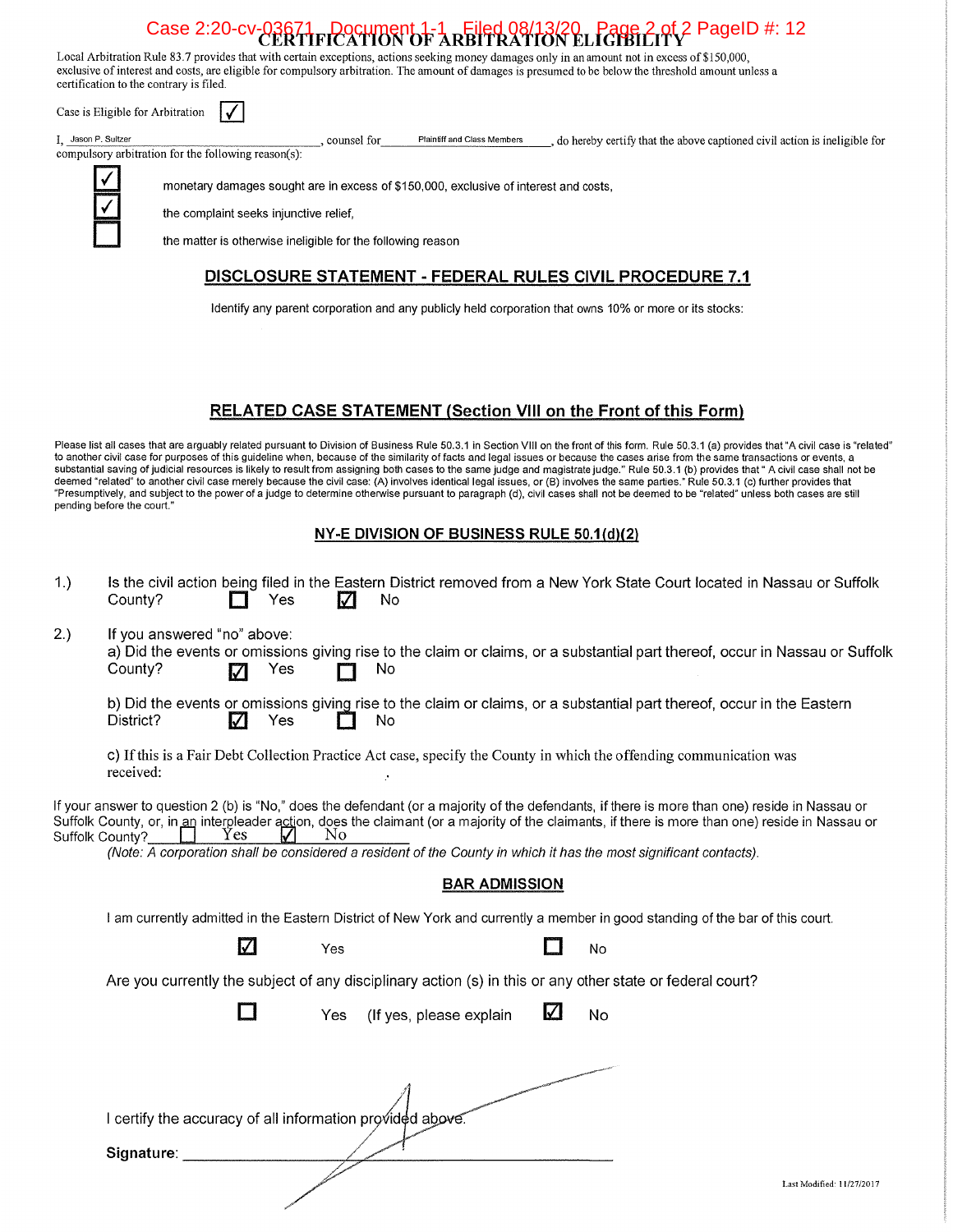#### Case 2:20-cv-03671 FDocument 1-1 Filed 08/13/20 Page 2.0 2 PageID #: 12

Plaintiff and Class Members \_\_\_\_\_\_, do hereby certify that the above captioned civil action is ineligible for

Local Arbitration Rule 83.7 provides that with certain exceptions, actions seeking money damages only in an amount not in excess of \$150,000, exclusive of interest and costs, are eligible for compulsory arbitration. The amount of damages is presumed to be below the threshold amount unless a certification to the contrary is filed.

Case is Eligible for Arbitration

I. Jason P. Sultzer

compulsory arbitration for the following reason(s):

monetary damages sought are in excess of \$150,000, exclusive of interest and costs,

counsel for

the complaint seeks injunctive relief,

 $\checkmark$ 

the matter is otherwise ineligible for the following reason

# DISCLOSURE STATEMENT - FEDERAL RULES CIVIL PROCEDURE 7.1

Identify any parent corporation and any publicly held corporation that owns 10% or more or its stocks:

# **RELATED CASE STATEMENT (Section VIII on the Front of this Form)**

Please list all cases that are arguably related pursuant to Division of Business Rule 50.3.1 in Section VIII on the front of this form. Rule 50.3.1 (a) provides that "A civil case is "related"<br>to another civil case for pur "Presumptively, and subject to the power of a judge to determine otherwise pursuant to paragraph (d), civil cases shall not be deemed to be "related" unless both cases are still pending before the court."

#### NY-E DIVISION OF BUSINESS RULE 50.1(d)(2)

| 1.)             | Is the civil action being filed in the Eastern District removed from a New York State Court located in Nassau or Suffolk<br>County?<br>Yes<br>No                                                                                                                                                                                                                                                                                     |  |  |  |  |  |  |
|-----------------|--------------------------------------------------------------------------------------------------------------------------------------------------------------------------------------------------------------------------------------------------------------------------------------------------------------------------------------------------------------------------------------------------------------------------------------|--|--|--|--|--|--|
| 2.)             | If you answered "no" above:<br>a) Did the events or omissions giving rise to the claim or claims, or a substantial part thereof, occur in Nassau or Suffolk<br>County?<br>Yes<br>No<br>M                                                                                                                                                                                                                                             |  |  |  |  |  |  |
|                 | b) Did the events or omissions giving rise to the claim or claims, or a substantial part thereof, occur in the Eastern<br>District?<br>IJ<br>Yes<br>No                                                                                                                                                                                                                                                                               |  |  |  |  |  |  |
|                 | c) If this is a Fair Debt Collection Practice Act case, specify the County in which the offending communication was<br>received:                                                                                                                                                                                                                                                                                                     |  |  |  |  |  |  |
| Suffolk County? | If your answer to question 2 (b) is "No," does the defendant (or a majority of the defendants, if there is more than one) reside in Nassau or<br>Suffolk County, or, in an interpleader action, does the claimant (or a majority of the claimants, if there is more than one) reside in Nassau or<br>Y es<br>Nο<br>(Note: A corporation shall be considered a resident of the County in which it has the most significant contacts). |  |  |  |  |  |  |
|                 | <b>BAR ADMISSION</b>                                                                                                                                                                                                                                                                                                                                                                                                                 |  |  |  |  |  |  |
|                 | I am currently admitted in the Eastern District of New York and currently a member in good standing of the bar of this court.                                                                                                                                                                                                                                                                                                        |  |  |  |  |  |  |
|                 | $\bm{\mathsf{Z}}$<br>Yes<br>No                                                                                                                                                                                                                                                                                                                                                                                                       |  |  |  |  |  |  |
|                 | Are you currently the subject of any disciplinary action (s) in this or any other state or federal court?                                                                                                                                                                                                                                                                                                                            |  |  |  |  |  |  |
|                 | M<br>(If yes, please explain<br>No<br>Yes                                                                                                                                                                                                                                                                                                                                                                                            |  |  |  |  |  |  |
|                 |                                                                                                                                                                                                                                                                                                                                                                                                                                      |  |  |  |  |  |  |
|                 | I certify the accuracy of all information provided above.                                                                                                                                                                                                                                                                                                                                                                            |  |  |  |  |  |  |
|                 | Signature:                                                                                                                                                                                                                                                                                                                                                                                                                           |  |  |  |  |  |  |
|                 | Last Modified: 11/27/2017                                                                                                                                                                                                                                                                                                                                                                                                            |  |  |  |  |  |  |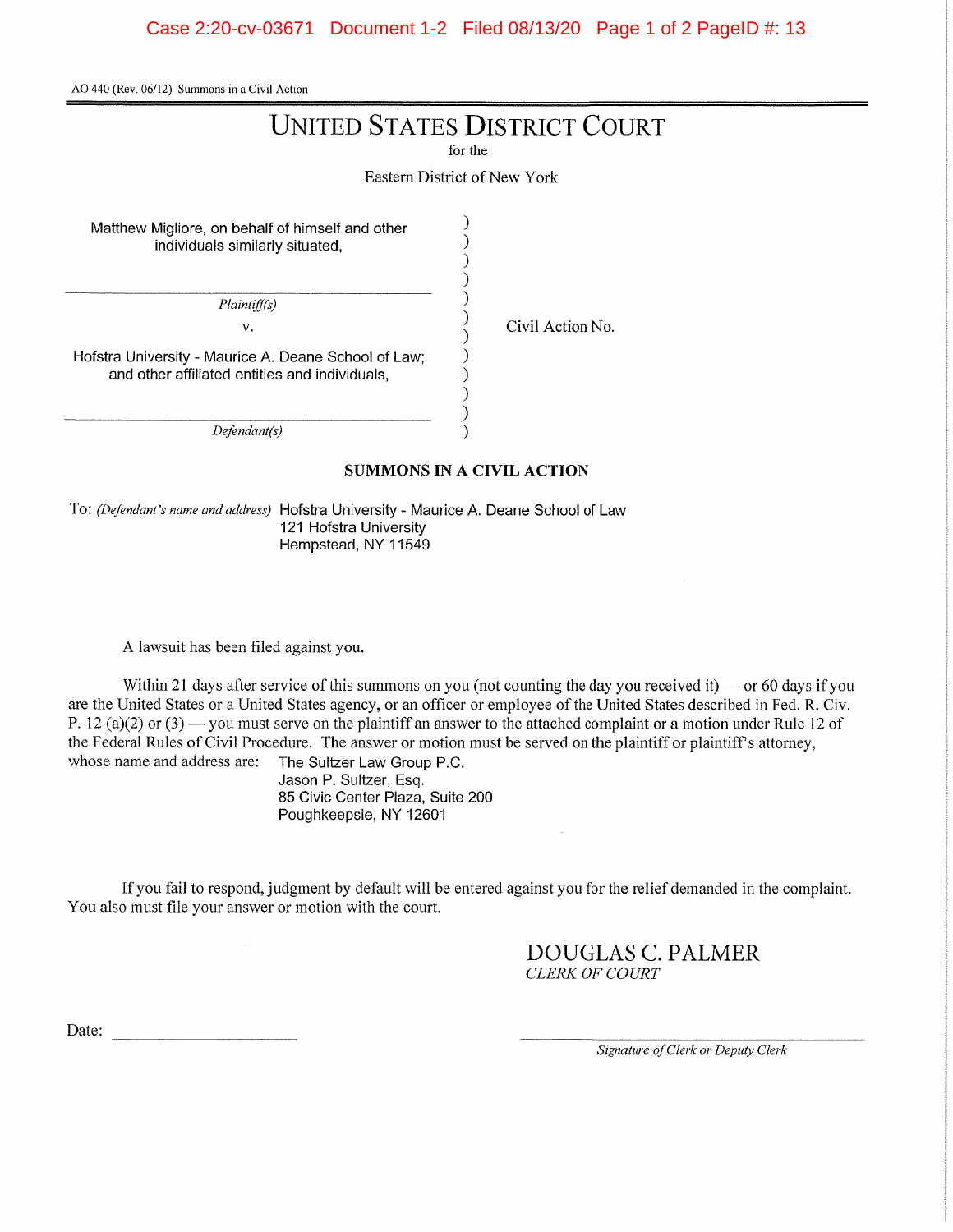AO 440 (Rev. 06/12) Summons in a Civil Action

# **UNITED STATES DISTRICT COURT**

for the

Eastern District of New York

 $\mathcal{E}$ 

 $\mathcal{E}$ 

 $\lambda$ 

 $\lambda$ 

 $\mathcal{E}$ 

Matthew Migliore, on behalf of himself and other individuals similarly situated,

Plaintiff(s)

 $V_{\bullet}$ 

Civil Action No.

Hofstra University - Maurice A. Deane School of Law; and other affiliated entities and individuals,

 $Defendant(s)$ 

## SUMMONS IN A CIVIL ACTION

 $\mathcal{E}$ 

í

To: (Defendant's name and address) Hofstra University - Maurice A. Deane School of Law 121 Hofstra University Hempstead, NY 11549

A lawsuit has been filed against you.

Within 21 days after service of this summons on you (not counting the day you received it) — or 60 days if you are the United States or a United States agency, or an officer or employee of the United States described in Fed. R. Civ. P. 12 (a)(2) or (3) — you must serve on the plaintiff an answer to the attached complaint or a motion under Rule 12 of the Federal Rules of Civil Procedure. The answer or motion must be served on the plaintiff or plaintiff's attorney, whose name and address are:

The Sultzer Law Group P.C. Jason P. Sultzer, Esq. 85 Civic Center Plaza, Suite 200 Poughkeepsie, NY 12601

If you fail to respond, judgment by default will be entered against you for the relief demanded in the complaint. You also must file your answer or motion with the court.

> **DOUGLAS C. PALMER CLERK OF COURT**

Date:

Signature of Clerk or Deputy Clerk